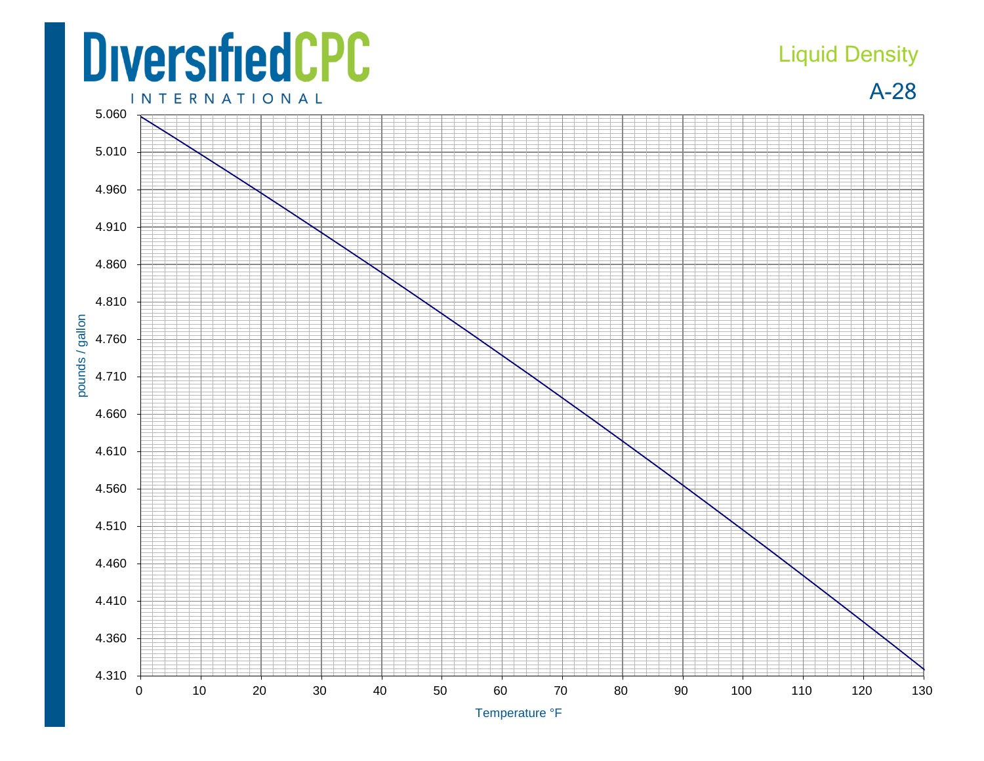## **DiversifiedCPC INTERNATIONAL**

## Liquid Density

A-28